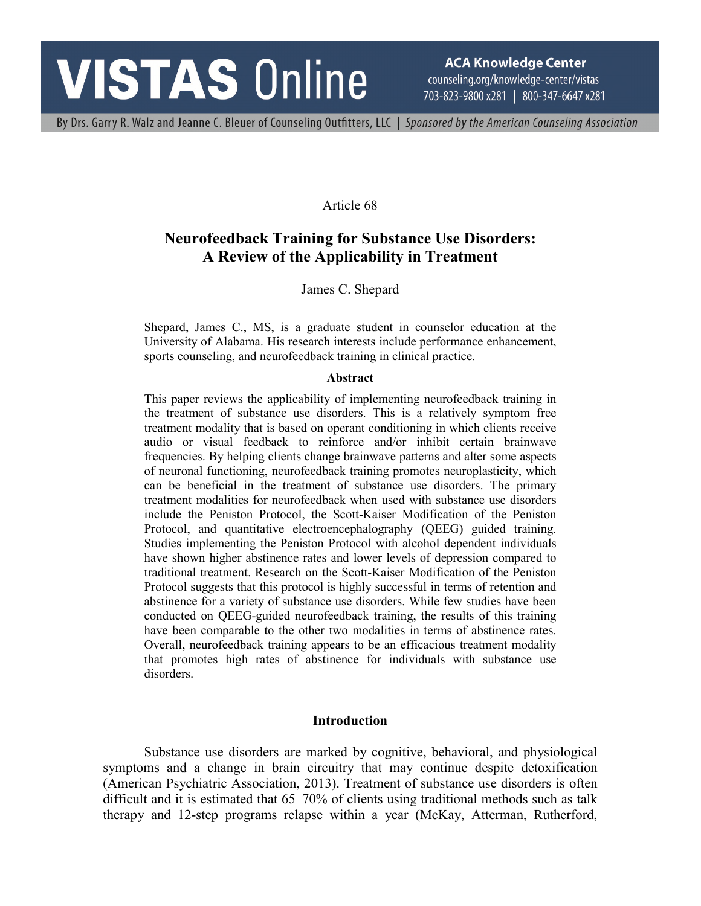# **VISTAS Online**

**ACA Knowledge Center** counseling.org/knowledge-center/vistas 703-823-9800 x281 | 800-347-6647 x281

By Drs. Garry R. Walz and Jeanne C. Bleuer of Counseling Outfitters, LLC | Sponsored by the American Counseling Association

Article 68

## **Neurofeedback Training for Substance Use Disorders: A Review of the Applicability in Treatment**

James C. Shepard

Shepard, James C., MS, is a graduate student in counselor education at the University of Alabama. His research interests include performance enhancement, sports counseling, and neurofeedback training in clinical practice.

#### **Abstract**

This paper reviews the applicability of implementing neurofeedback training in the treatment of substance use disorders. This is a relatively symptom free treatment modality that is based on operant conditioning in which clients receive audio or visual feedback to reinforce and/or inhibit certain brainwave frequencies. By helping clients change brainwave patterns and alter some aspects of neuronal functioning, neurofeedback training promotes neuroplasticity, which can be beneficial in the treatment of substance use disorders. The primary treatment modalities for neurofeedback when used with substance use disorders include the Peniston Protocol, the Scott-Kaiser Modification of the Peniston Protocol, and quantitative electroencephalography (QEEG) guided training. Studies implementing the Peniston Protocol with alcohol dependent individuals have shown higher abstinence rates and lower levels of depression compared to traditional treatment. Research on the Scott-Kaiser Modification of the Peniston Protocol suggests that this protocol is highly successful in terms of retention and abstinence for a variety of substance use disorders. While few studies have been conducted on QEEG-guided neurofeedback training, the results of this training have been comparable to the other two modalities in terms of abstinence rates. Overall, neurofeedback training appears to be an efficacious treatment modality that promotes high rates of abstinence for individuals with substance use disorders.

#### **Introduction**

Substance use disorders are marked by cognitive, behavioral, and physiological symptoms and a change in brain circuitry that may continue despite detoxification (American Psychiatric Association, 2013). Treatment of substance use disorders is often difficult and it is estimated that 65–70% of clients using traditional methods such as talk therapy and 12-step programs relapse within a year (McKay, Atterman, Rutherford,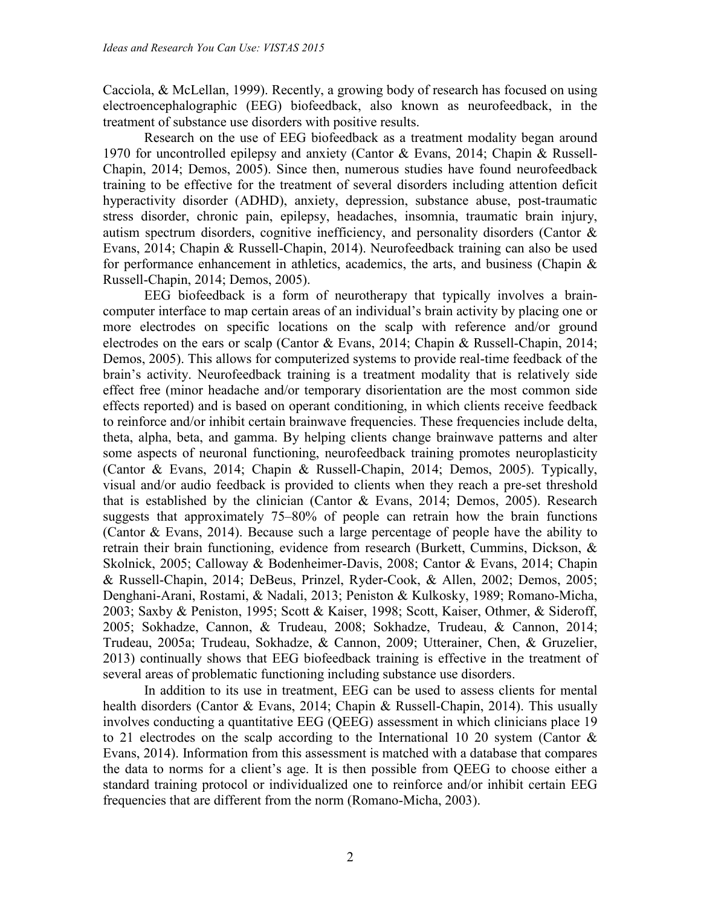Cacciola, & McLellan, 1999). Recently, a growing body of research has focused on using electroencephalographic (EEG) biofeedback, also known as neurofeedback, in the treatment of substance use disorders with positive results.

Research on the use of EEG biofeedback as a treatment modality began around 1970 for uncontrolled epilepsy and anxiety (Cantor & Evans, 2014; Chapin & Russell-Chapin, 2014; Demos, 2005). Since then, numerous studies have found neurofeedback training to be effective for the treatment of several disorders including attention deficit hyperactivity disorder (ADHD), anxiety, depression, substance abuse, post-traumatic stress disorder, chronic pain, epilepsy, headaches, insomnia, traumatic brain injury, autism spectrum disorders, cognitive inefficiency, and personality disorders (Cantor & Evans, 2014; Chapin & Russell-Chapin, 2014). Neurofeedback training can also be used for performance enhancement in athletics, academics, the arts, and business (Chapin  $\&$ Russell-Chapin, 2014; Demos, 2005).

EEG biofeedback is a form of neurotherapy that typically involves a braincomputer interface to map certain areas of an individual's brain activity by placing one or more electrodes on specific locations on the scalp with reference and/or ground electrodes on the ears or scalp (Cantor & Evans, 2014; Chapin & Russell-Chapin, 2014; Demos, 2005). This allows for computerized systems to provide real-time feedback of the brain's activity. Neurofeedback training is a treatment modality that is relatively side effect free (minor headache and/or temporary disorientation are the most common side effects reported) and is based on operant conditioning, in which clients receive feedback to reinforce and/or inhibit certain brainwave frequencies. These frequencies include delta, theta, alpha, beta, and gamma. By helping clients change brainwave patterns and alter some aspects of neuronal functioning, neurofeedback training promotes neuroplasticity (Cantor & Evans, 2014; Chapin & Russell-Chapin, 2014; Demos, 2005). Typically, visual and/or audio feedback is provided to clients when they reach a pre-set threshold that is established by the clinician (Cantor & Evans, 2014; Demos, 2005). Research suggests that approximately 75–80% of people can retrain how the brain functions (Cantor & Evans, 2014). Because such a large percentage of people have the ability to retrain their brain functioning, evidence from research (Burkett, Cummins, Dickson, & Skolnick, 2005; Calloway & Bodenheimer-Davis, 2008; Cantor & Evans, 2014; Chapin & Russell-Chapin, 2014; DeBeus, Prinzel, Ryder-Cook, & Allen, 2002; Demos, 2005; Denghani-Arani, Rostami, & Nadali, 2013; Peniston & Kulkosky, 1989; Romano-Micha, 2003; Saxby & Peniston, 1995; Scott & Kaiser, 1998; Scott, Kaiser, Othmer, & Sideroff, 2005; Sokhadze, Cannon, & Trudeau, 2008; Sokhadze, Trudeau, & Cannon, 2014; Trudeau, 2005a; Trudeau, Sokhadze, & Cannon, 2009; Utterainer, Chen, & Gruzelier, 2013) continually shows that EEG biofeedback training is effective in the treatment of several areas of problematic functioning including substance use disorders.

In addition to its use in treatment, EEG can be used to assess clients for mental health disorders (Cantor & Evans, 2014; Chapin & Russell-Chapin, 2014). This usually involves conducting a quantitative EEG (QEEG) assessment in which clinicians place 19 to 21 electrodes on the scalp according to the International 10 20 system (Cantor & Evans, 2014). Information from this assessment is matched with a database that compares the data to norms for a client's age. It is then possible from QEEG to choose either a standard training protocol or individualized one to reinforce and/or inhibit certain EEG frequencies that are different from the norm (Romano-Micha, 2003).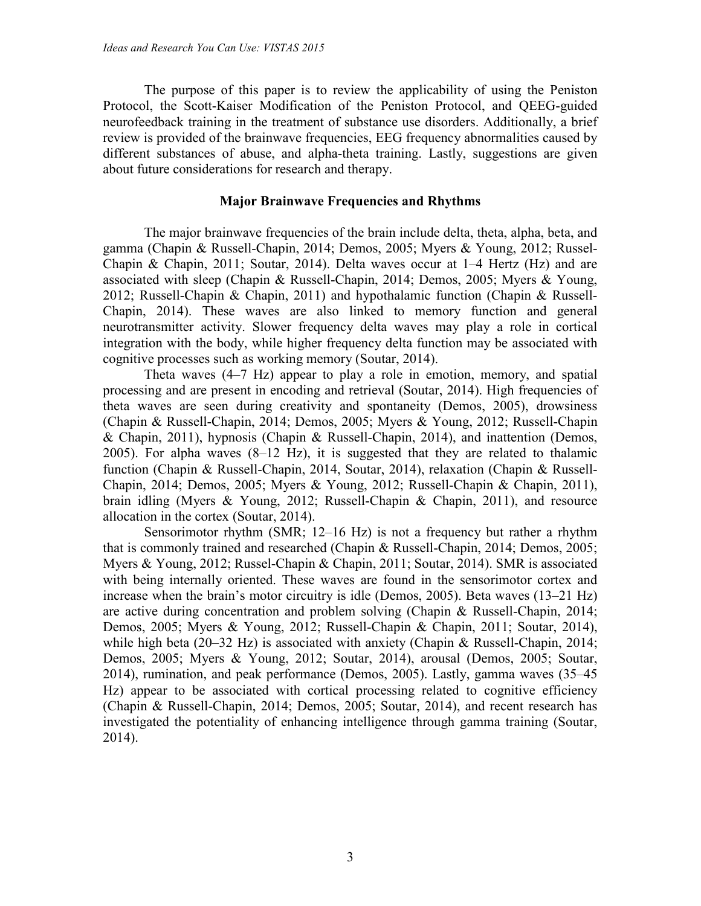The purpose of this paper is to review the applicability of using the Peniston Protocol, the Scott-Kaiser Modification of the Peniston Protocol, and QEEG-guided neurofeedback training in the treatment of substance use disorders. Additionally, a brief review is provided of the brainwave frequencies, EEG frequency abnormalities caused by different substances of abuse, and alpha-theta training. Lastly, suggestions are given about future considerations for research and therapy.

#### **Major Brainwave Frequencies and Rhythms**

The major brainwave frequencies of the brain include delta, theta, alpha, beta, and gamma (Chapin & Russell-Chapin, 2014; Demos, 2005; Myers & Young, 2012; Russel-Chapin & Chapin, 2011; Soutar, 2014). Delta waves occur at  $1-4$  Hertz (Hz) and are associated with sleep (Chapin & Russell-Chapin, 2014; Demos, 2005; Myers & Young, 2012; Russell-Chapin & Chapin, 2011) and hypothalamic function (Chapin & Russell-Chapin, 2014). These waves are also linked to memory function and general neurotransmitter activity. Slower frequency delta waves may play a role in cortical integration with the body, while higher frequency delta function may be associated with cognitive processes such as working memory (Soutar, 2014).

Theta waves (4–7 Hz) appear to play a role in emotion, memory, and spatial processing and are present in encoding and retrieval (Soutar, 2014). High frequencies of theta waves are seen during creativity and spontaneity (Demos, 2005), drowsiness (Chapin & Russell-Chapin, 2014; Demos, 2005; Myers & Young, 2012; Russell-Chapin & Chapin, 2011), hypnosis (Chapin & Russell-Chapin, 2014), and inattention (Demos, 2005). For alpha waves (8–12 Hz), it is suggested that they are related to thalamic function (Chapin & Russell-Chapin, 2014, Soutar, 2014), relaxation (Chapin & Russell-Chapin, 2014; Demos, 2005; Myers & Young, 2012; Russell-Chapin & Chapin, 2011), brain idling (Myers & Young, 2012; Russell-Chapin & Chapin, 2011), and resource allocation in the cortex (Soutar, 2014).

Sensorimotor rhythm (SMR; 12–16 Hz) is not a frequency but rather a rhythm that is commonly trained and researched (Chapin & Russell-Chapin, 2014; Demos, 2005; Myers & Young, 2012; Russel-Chapin & Chapin, 2011; Soutar, 2014). SMR is associated with being internally oriented. These waves are found in the sensorimotor cortex and increase when the brain's motor circuitry is idle (Demos, 2005). Beta waves (13–21 Hz) are active during concentration and problem solving (Chapin & Russell-Chapin, 2014; Demos, 2005; Myers & Young, 2012; Russell-Chapin & Chapin, 2011; Soutar, 2014), while high beta (20–32 Hz) is associated with anxiety (Chapin & Russell-Chapin, 2014; Demos, 2005; Myers & Young, 2012; Soutar, 2014), arousal (Demos, 2005; Soutar, 2014), rumination, and peak performance (Demos, 2005). Lastly, gamma waves (35–45 Hz) appear to be associated with cortical processing related to cognitive efficiency (Chapin & Russell-Chapin, 2014; Demos, 2005; Soutar, 2014), and recent research has investigated the potentiality of enhancing intelligence through gamma training (Soutar, 2014).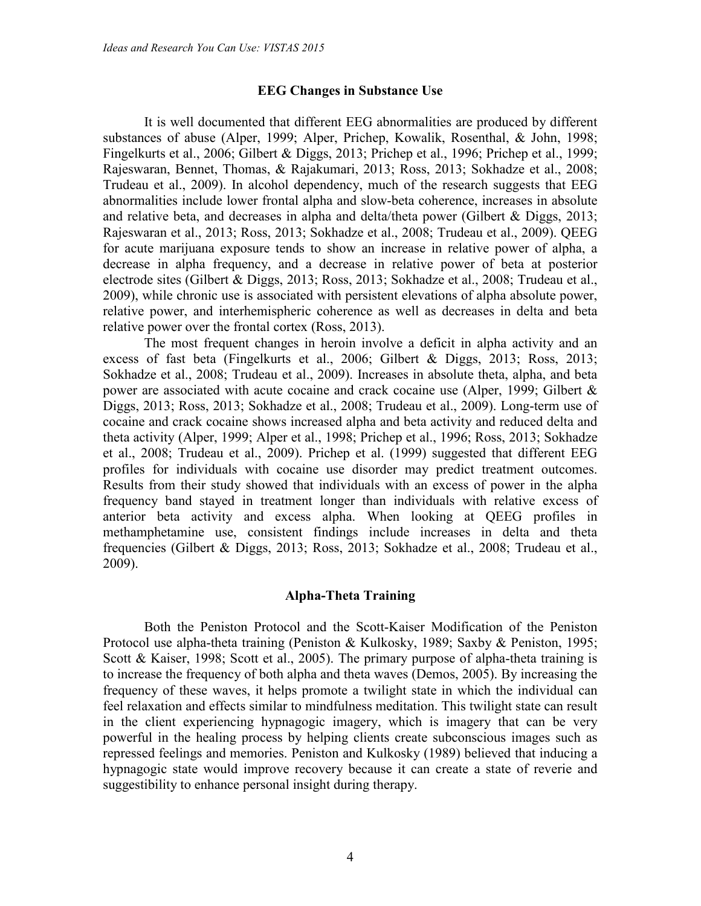#### **EEG Changes in Substance Use**

It is well documented that different EEG abnormalities are produced by different substances of abuse (Alper, 1999; Alper, Prichep, Kowalik, Rosenthal, & John, 1998; Fingelkurts et al., 2006; Gilbert & Diggs, 2013; Prichep et al., 1996; Prichep et al., 1999; Rajeswaran, Bennet, Thomas, & Rajakumari, 2013; Ross, 2013; Sokhadze et al., 2008; Trudeau et al., 2009). In alcohol dependency, much of the research suggests that EEG abnormalities include lower frontal alpha and slow-beta coherence, increases in absolute and relative beta, and decreases in alpha and delta/theta power (Gilbert & Diggs, 2013; Rajeswaran et al., 2013; Ross, 2013; Sokhadze et al., 2008; Trudeau et al., 2009). QEEG for acute marijuana exposure tends to show an increase in relative power of alpha, a decrease in alpha frequency, and a decrease in relative power of beta at posterior electrode sites (Gilbert & Diggs, 2013; Ross, 2013; Sokhadze et al., 2008; Trudeau et al., 2009), while chronic use is associated with persistent elevations of alpha absolute power, relative power, and interhemispheric coherence as well as decreases in delta and beta relative power over the frontal cortex (Ross, 2013).

The most frequent changes in heroin involve a deficit in alpha activity and an excess of fast beta (Fingelkurts et al., 2006; Gilbert & Diggs, 2013; Ross, 2013; Sokhadze et al., 2008; Trudeau et al., 2009). Increases in absolute theta, alpha, and beta power are associated with acute cocaine and crack cocaine use (Alper, 1999; Gilbert & Diggs, 2013; Ross, 2013; Sokhadze et al., 2008; Trudeau et al., 2009). Long-term use of cocaine and crack cocaine shows increased alpha and beta activity and reduced delta and theta activity (Alper, 1999; Alper et al., 1998; Prichep et al., 1996; Ross, 2013; Sokhadze et al., 2008; Trudeau et al., 2009). Prichep et al. (1999) suggested that different EEG profiles for individuals with cocaine use disorder may predict treatment outcomes. Results from their study showed that individuals with an excess of power in the alpha frequency band stayed in treatment longer than individuals with relative excess of anterior beta activity and excess alpha. When looking at QEEG profiles in methamphetamine use, consistent findings include increases in delta and theta frequencies (Gilbert & Diggs, 2013; Ross, 2013; Sokhadze et al., 2008; Trudeau et al., 2009).

#### **Alpha-Theta Training**

Both the Peniston Protocol and the Scott-Kaiser Modification of the Peniston Protocol use alpha-theta training (Peniston & Kulkosky, 1989; Saxby & Peniston, 1995; Scott & Kaiser, 1998; Scott et al., 2005). The primary purpose of alpha-theta training is to increase the frequency of both alpha and theta waves (Demos, 2005). By increasing the frequency of these waves, it helps promote a twilight state in which the individual can feel relaxation and effects similar to mindfulness meditation. This twilight state can result in the client experiencing hypnagogic imagery, which is imagery that can be very powerful in the healing process by helping clients create subconscious images such as repressed feelings and memories. Peniston and Kulkosky (1989) believed that inducing a hypnagogic state would improve recovery because it can create a state of reverie and suggestibility to enhance personal insight during therapy.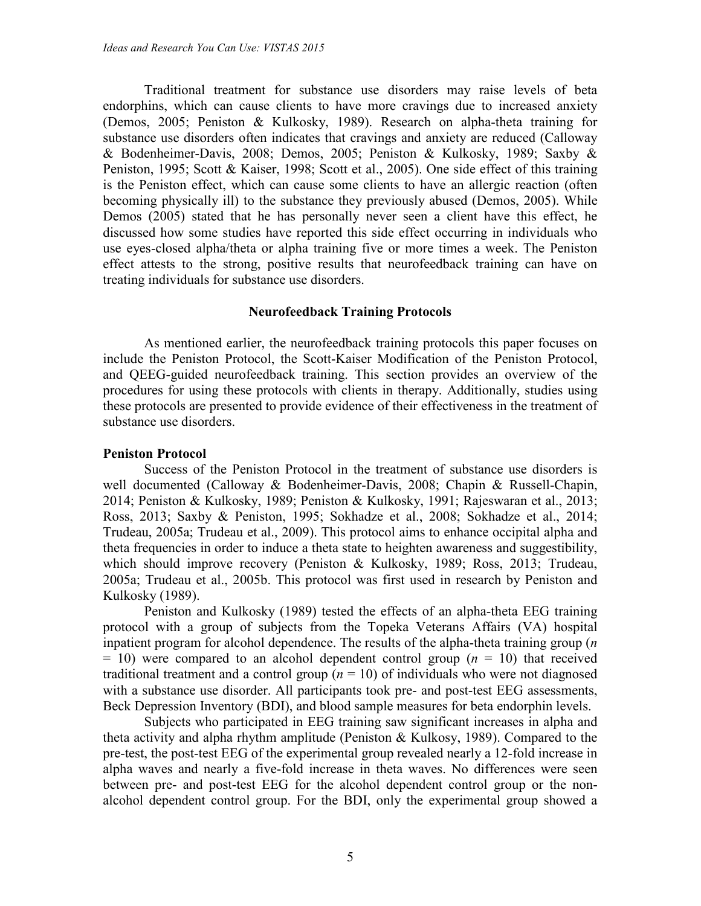Traditional treatment for substance use disorders may raise levels of beta endorphins, which can cause clients to have more cravings due to increased anxiety (Demos, 2005; Peniston & Kulkosky, 1989). Research on alpha-theta training for substance use disorders often indicates that cravings and anxiety are reduced (Calloway & Bodenheimer-Davis, 2008; Demos, 2005; Peniston & Kulkosky, 1989; Saxby & Peniston, 1995; Scott & Kaiser, 1998; Scott et al., 2005). One side effect of this training is the Peniston effect, which can cause some clients to have an allergic reaction (often becoming physically ill) to the substance they previously abused (Demos, 2005). While Demos (2005) stated that he has personally never seen a client have this effect, he discussed how some studies have reported this side effect occurring in individuals who use eyes-closed alpha/theta or alpha training five or more times a week. The Peniston effect attests to the strong, positive results that neurofeedback training can have on treating individuals for substance use disorders.

#### **Neurofeedback Training Protocols**

As mentioned earlier, the neurofeedback training protocols this paper focuses on include the Peniston Protocol, the Scott-Kaiser Modification of the Peniston Protocol, and QEEG-guided neurofeedback training. This section provides an overview of the procedures for using these protocols with clients in therapy. Additionally, studies using these protocols are presented to provide evidence of their effectiveness in the treatment of substance use disorders.

#### **Peniston Protocol**

Success of the Peniston Protocol in the treatment of substance use disorders is well documented (Calloway & Bodenheimer-Davis, 2008; Chapin & Russell-Chapin, 2014; Peniston & Kulkosky, 1989; Peniston & Kulkosky, 1991; Rajeswaran et al., 2013; Ross, 2013; Saxby & Peniston, 1995; Sokhadze et al., 2008; Sokhadze et al., 2014; Trudeau, 2005a; Trudeau et al., 2009). This protocol aims to enhance occipital alpha and theta frequencies in order to induce a theta state to heighten awareness and suggestibility, which should improve recovery (Peniston & Kulkosky, 1989; Ross, 2013; Trudeau, 2005a; Trudeau et al., 2005b. This protocol was first used in research by Peniston and Kulkosky (1989).

Peniston and Kulkosky (1989) tested the effects of an alpha-theta EEG training protocol with a group of subjects from the Topeka Veterans Affairs (VA) hospital inpatient program for alcohol dependence. The results of the alpha-theta training group (*n*  $= 10$ ) were compared to an alcohol dependent control group ( $n = 10$ ) that received traditional treatment and a control group  $(n = 10)$  of individuals who were not diagnosed with a substance use disorder. All participants took pre- and post-test EEG assessments, Beck Depression Inventory (BDI), and blood sample measures for beta endorphin levels.

Subjects who participated in EEG training saw significant increases in alpha and theta activity and alpha rhythm amplitude (Peniston & Kulkosy, 1989). Compared to the pre-test, the post-test EEG of the experimental group revealed nearly a 12-fold increase in alpha waves and nearly a five-fold increase in theta waves. No differences were seen between pre- and post-test EEG for the alcohol dependent control group or the nonalcohol dependent control group. For the BDI, only the experimental group showed a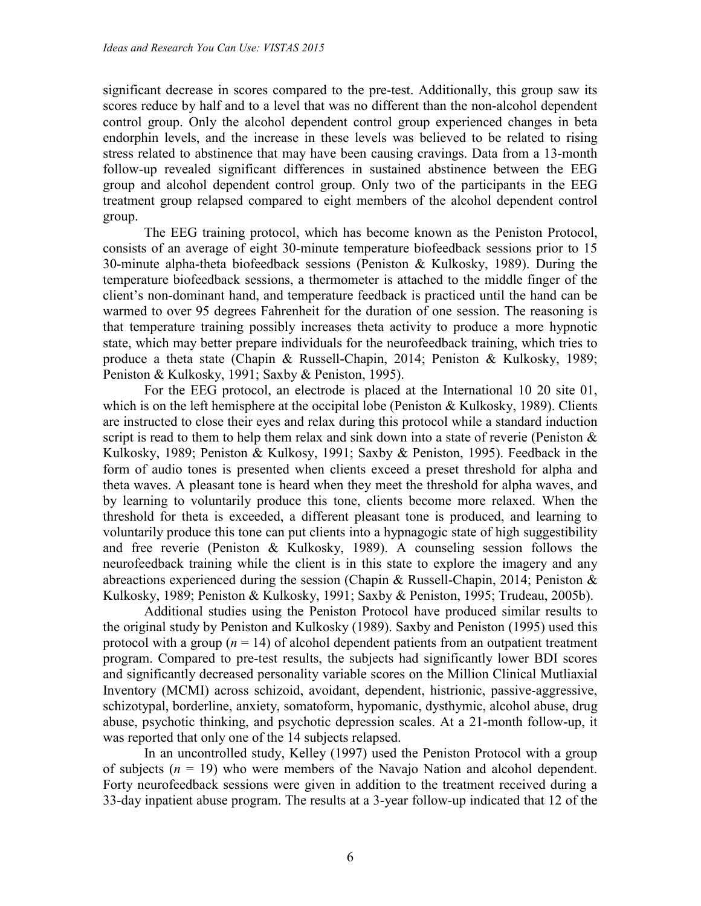significant decrease in scores compared to the pre-test. Additionally, this group saw its scores reduce by half and to a level that was no different than the non-alcohol dependent control group. Only the alcohol dependent control group experienced changes in beta endorphin levels, and the increase in these levels was believed to be related to rising stress related to abstinence that may have been causing cravings. Data from a 13-month follow-up revealed significant differences in sustained abstinence between the EEG group and alcohol dependent control group. Only two of the participants in the EEG treatment group relapsed compared to eight members of the alcohol dependent control group.

The EEG training protocol, which has become known as the Peniston Protocol, consists of an average of eight 30-minute temperature biofeedback sessions prior to 15 30-minute alpha-theta biofeedback sessions (Peniston & Kulkosky, 1989). During the temperature biofeedback sessions, a thermometer is attached to the middle finger of the client's non-dominant hand, and temperature feedback is practiced until the hand can be warmed to over 95 degrees Fahrenheit for the duration of one session. The reasoning is that temperature training possibly increases theta activity to produce a more hypnotic state, which may better prepare individuals for the neurofeedback training, which tries to produce a theta state (Chapin & Russell-Chapin, 2014; Peniston & Kulkosky, 1989; Peniston & Kulkosky, 1991; Saxby & Peniston, 1995).

For the EEG protocol, an electrode is placed at the International 10 20 site 01, which is on the left hemisphere at the occipital lobe (Peniston & Kulkosky, 1989). Clients are instructed to close their eyes and relax during this protocol while a standard induction script is read to them to help them relax and sink down into a state of reverie (Peniston & Kulkosky, 1989; Peniston & Kulkosy, 1991; Saxby & Peniston, 1995). Feedback in the form of audio tones is presented when clients exceed a preset threshold for alpha and theta waves. A pleasant tone is heard when they meet the threshold for alpha waves, and by learning to voluntarily produce this tone, clients become more relaxed. When the threshold for theta is exceeded, a different pleasant tone is produced, and learning to voluntarily produce this tone can put clients into a hypnagogic state of high suggestibility and free reverie (Peniston & Kulkosky, 1989). A counseling session follows the neurofeedback training while the client is in this state to explore the imagery and any abreactions experienced during the session (Chapin & Russell-Chapin, 2014; Peniston & Kulkosky, 1989; Peniston & Kulkosky, 1991; Saxby & Peniston, 1995; Trudeau, 2005b).

Additional studies using the Peniston Protocol have produced similar results to the original study by Peniston and Kulkosky (1989). Saxby and Peniston (1995) used this protocol with a group  $(n = 14)$  of alcohol dependent patients from an outpatient treatment program. Compared to pre-test results, the subjects had significantly lower BDI scores and significantly decreased personality variable scores on the Million Clinical Mutliaxial Inventory (MCMI) across schizoid, avoidant, dependent, histrionic, passive-aggressive, schizotypal, borderline, anxiety, somatoform, hypomanic, dysthymic, alcohol abuse, drug abuse, psychotic thinking, and psychotic depression scales. At a 21-month follow-up, it was reported that only one of the 14 subjects relapsed.

In an uncontrolled study, Kelley (1997) used the Peniston Protocol with a group of subjects  $(n = 19)$  who were members of the Navajo Nation and alcohol dependent. Forty neurofeedback sessions were given in addition to the treatment received during a 33-day inpatient abuse program. The results at a 3-year follow-up indicated that 12 of the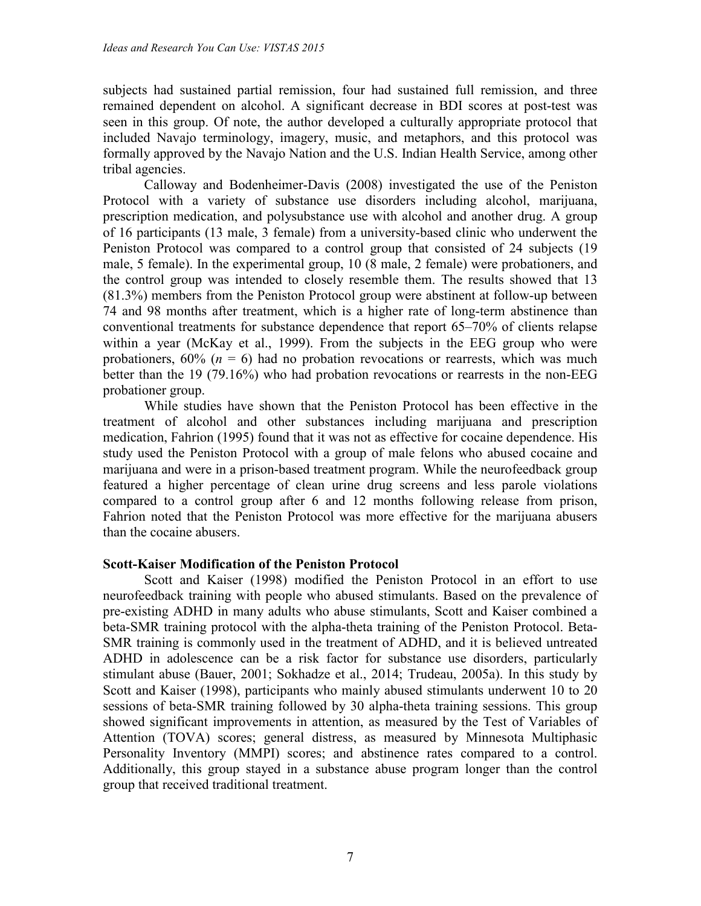subjects had sustained partial remission, four had sustained full remission, and three remained dependent on alcohol. A significant decrease in BDI scores at post-test was seen in this group. Of note, the author developed a culturally appropriate protocol that included Navajo terminology, imagery, music, and metaphors, and this protocol was formally approved by the Navajo Nation and the U.S. Indian Health Service, among other tribal agencies.

Calloway and Bodenheimer-Davis (2008) investigated the use of the Peniston Protocol with a variety of substance use disorders including alcohol, marijuana, prescription medication, and polysubstance use with alcohol and another drug. A group of 16 participants (13 male, 3 female) from a university-based clinic who underwent the Peniston Protocol was compared to a control group that consisted of 24 subjects (19 male, 5 female). In the experimental group, 10 (8 male, 2 female) were probationers, and the control group was intended to closely resemble them. The results showed that 13 (81.3%) members from the Peniston Protocol group were abstinent at follow-up between 74 and 98 months after treatment, which is a higher rate of long-term abstinence than conventional treatments for substance dependence that report 65–70% of clients relapse within a year (McKay et al., 1999). From the subjects in the EEG group who were probationers,  $60\%$  ( $n = 6$ ) had no probation revocations or rearrests, which was much better than the 19 (79.16%) who had probation revocations or rearrests in the non-EEG probationer group.

While studies have shown that the Peniston Protocol has been effective in the treatment of alcohol and other substances including marijuana and prescription medication, Fahrion (1995) found that it was not as effective for cocaine dependence. His study used the Peniston Protocol with a group of male felons who abused cocaine and marijuana and were in a prison-based treatment program. While the neurofeedback group featured a higher percentage of clean urine drug screens and less parole violations compared to a control group after 6 and 12 months following release from prison, Fahrion noted that the Peniston Protocol was more effective for the marijuana abusers than the cocaine abusers.

#### **Scott-Kaiser Modification of the Peniston Protocol**

Scott and Kaiser (1998) modified the Peniston Protocol in an effort to use neurofeedback training with people who abused stimulants. Based on the prevalence of pre-existing ADHD in many adults who abuse stimulants, Scott and Kaiser combined a beta-SMR training protocol with the alpha-theta training of the Peniston Protocol. Beta-SMR training is commonly used in the treatment of ADHD, and it is believed untreated ADHD in adolescence can be a risk factor for substance use disorders, particularly stimulant abuse (Bauer, 2001; Sokhadze et al., 2014; Trudeau, 2005a). In this study by Scott and Kaiser (1998), participants who mainly abused stimulants underwent 10 to 20 sessions of beta-SMR training followed by 30 alpha-theta training sessions. This group showed significant improvements in attention, as measured by the Test of Variables of Attention (TOVA) scores; general distress, as measured by Minnesota Multiphasic Personality Inventory (MMPI) scores; and abstinence rates compared to a control. Additionally, this group stayed in a substance abuse program longer than the control group that received traditional treatment.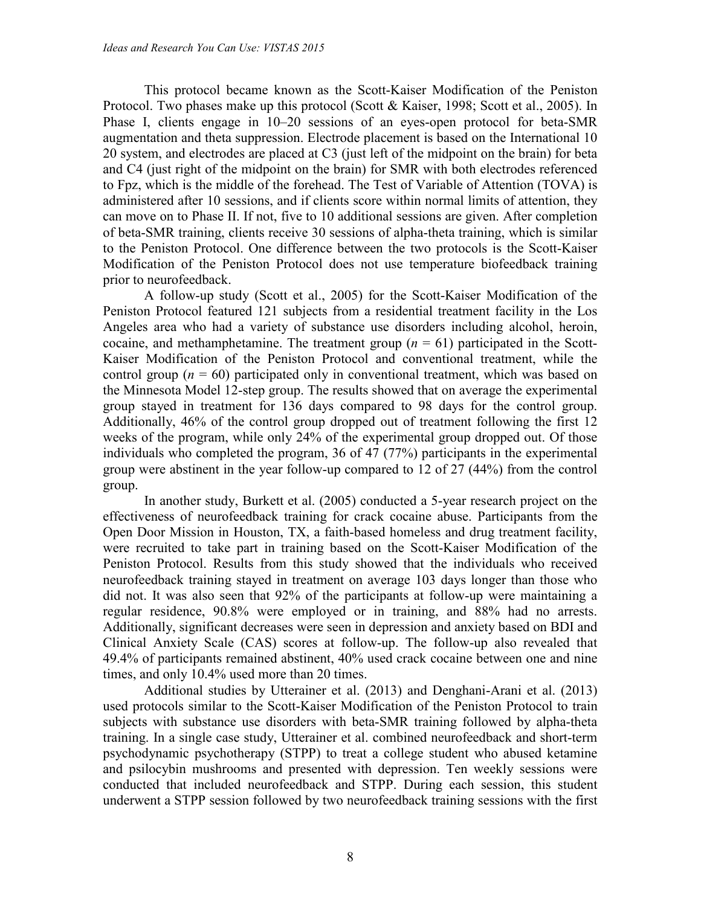This protocol became known as the Scott-Kaiser Modification of the Peniston Protocol. Two phases make up this protocol (Scott & Kaiser, 1998; Scott et al., 2005). In Phase I, clients engage in 10–20 sessions of an eyes-open protocol for beta-SMR augmentation and theta suppression. Electrode placement is based on the International 10 20 system, and electrodes are placed at C3 (just left of the midpoint on the brain) for beta and C4 (just right of the midpoint on the brain) for SMR with both electrodes referenced to Fpz, which is the middle of the forehead. The Test of Variable of Attention (TOVA) is administered after 10 sessions, and if clients score within normal limits of attention, they can move on to Phase II. If not, five to 10 additional sessions are given. After completion of beta-SMR training, clients receive 30 sessions of alpha-theta training, which is similar to the Peniston Protocol. One difference between the two protocols is the Scott-Kaiser Modification of the Peniston Protocol does not use temperature biofeedback training prior to neurofeedback.

A follow-up study (Scott et al., 2005) for the Scott-Kaiser Modification of the Peniston Protocol featured 121 subjects from a residential treatment facility in the Los Angeles area who had a variety of substance use disorders including alcohol, heroin, cocaine, and methamphetamine. The treatment group  $(n = 61)$  participated in the Scott-Kaiser Modification of the Peniston Protocol and conventional treatment, while the control group ( $n = 60$ ) participated only in conventional treatment, which was based on the Minnesota Model 12-step group. The results showed that on average the experimental group stayed in treatment for 136 days compared to 98 days for the control group. Additionally, 46% of the control group dropped out of treatment following the first 12 weeks of the program, while only 24% of the experimental group dropped out. Of those individuals who completed the program, 36 of 47 (77%) participants in the experimental group were abstinent in the year follow-up compared to 12 of 27 (44%) from the control group.

In another study, Burkett et al. (2005) conducted a 5-year research project on the effectiveness of neurofeedback training for crack cocaine abuse. Participants from the Open Door Mission in Houston, TX, a faith-based homeless and drug treatment facility, were recruited to take part in training based on the Scott-Kaiser Modification of the Peniston Protocol. Results from this study showed that the individuals who received neurofeedback training stayed in treatment on average 103 days longer than those who did not. It was also seen that 92% of the participants at follow-up were maintaining a regular residence, 90.8% were employed or in training, and 88% had no arrests. Additionally, significant decreases were seen in depression and anxiety based on BDI and Clinical Anxiety Scale (CAS) scores at follow-up. The follow-up also revealed that 49.4% of participants remained abstinent, 40% used crack cocaine between one and nine times, and only 10.4% used more than 20 times.

Additional studies by Utterainer et al. (2013) and Denghani-Arani et al. (2013) used protocols similar to the Scott-Kaiser Modification of the Peniston Protocol to train subjects with substance use disorders with beta-SMR training followed by alpha-theta training. In a single case study, Utterainer et al. combined neurofeedback and short-term psychodynamic psychotherapy (STPP) to treat a college student who abused ketamine and psilocybin mushrooms and presented with depression. Ten weekly sessions were conducted that included neurofeedback and STPP. During each session, this student underwent a STPP session followed by two neurofeedback training sessions with the first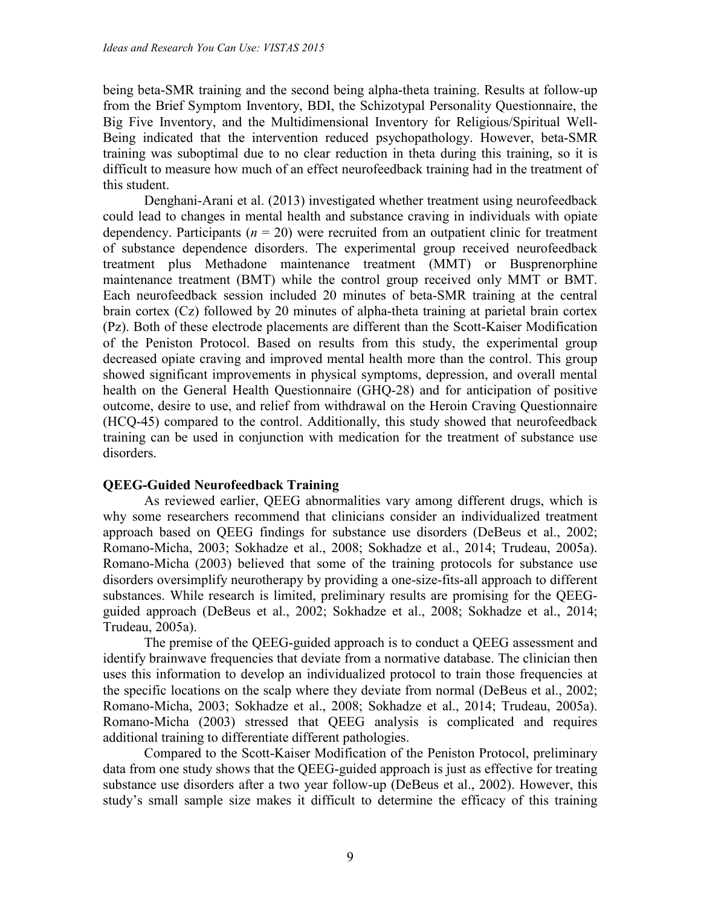being beta-SMR training and the second being alpha-theta training. Results at follow-up from the Brief Symptom Inventory, BDI, the Schizotypal Personality Questionnaire, the Big Five Inventory, and the Multidimensional Inventory for Religious/Spiritual Well-Being indicated that the intervention reduced psychopathology. However, beta-SMR training was suboptimal due to no clear reduction in theta during this training, so it is difficult to measure how much of an effect neurofeedback training had in the treatment of this student.

Denghani-Arani et al. (2013) investigated whether treatment using neurofeedback could lead to changes in mental health and substance craving in individuals with opiate dependency. Participants  $(n = 20)$  were recruited from an outpatient clinic for treatment of substance dependence disorders. The experimental group received neurofeedback treatment plus Methadone maintenance treatment (MMT) or Busprenorphine maintenance treatment (BMT) while the control group received only MMT or BMT. Each neurofeedback session included 20 minutes of beta-SMR training at the central brain cortex (Cz) followed by 20 minutes of alpha-theta training at parietal brain cortex (Pz). Both of these electrode placements are different than the Scott-Kaiser Modification of the Peniston Protocol. Based on results from this study, the experimental group decreased opiate craving and improved mental health more than the control. This group showed significant improvements in physical symptoms, depression, and overall mental health on the General Health Questionnaire (GHQ-28) and for anticipation of positive outcome, desire to use, and relief from withdrawal on the Heroin Craving Questionnaire (HCQ-45) compared to the control. Additionally, this study showed that neurofeedback training can be used in conjunction with medication for the treatment of substance use disorders.

#### **QEEG-Guided Neurofeedback Training**

As reviewed earlier, QEEG abnormalities vary among different drugs, which is why some researchers recommend that clinicians consider an individualized treatment approach based on QEEG findings for substance use disorders (DeBeus et al., 2002; Romano-Micha, 2003; Sokhadze et al., 2008; Sokhadze et al., 2014; Trudeau, 2005a). Romano-Micha (2003) believed that some of the training protocols for substance use disorders oversimplify neurotherapy by providing a one-size-fits-all approach to different substances. While research is limited, preliminary results are promising for the QEEGguided approach (DeBeus et al., 2002; Sokhadze et al., 2008; Sokhadze et al., 2014; Trudeau, 2005a).

The premise of the QEEG-guided approach is to conduct a QEEG assessment and identify brainwave frequencies that deviate from a normative database. The clinician then uses this information to develop an individualized protocol to train those frequencies at the specific locations on the scalp where they deviate from normal (DeBeus et al., 2002; Romano-Micha, 2003; Sokhadze et al., 2008; Sokhadze et al., 2014; Trudeau, 2005a). Romano-Micha (2003) stressed that QEEG analysis is complicated and requires additional training to differentiate different pathologies.

Compared to the Scott-Kaiser Modification of the Peniston Protocol, preliminary data from one study shows that the QEEG-guided approach is just as effective for treating substance use disorders after a two year follow-up (DeBeus et al., 2002). However, this study's small sample size makes it difficult to determine the efficacy of this training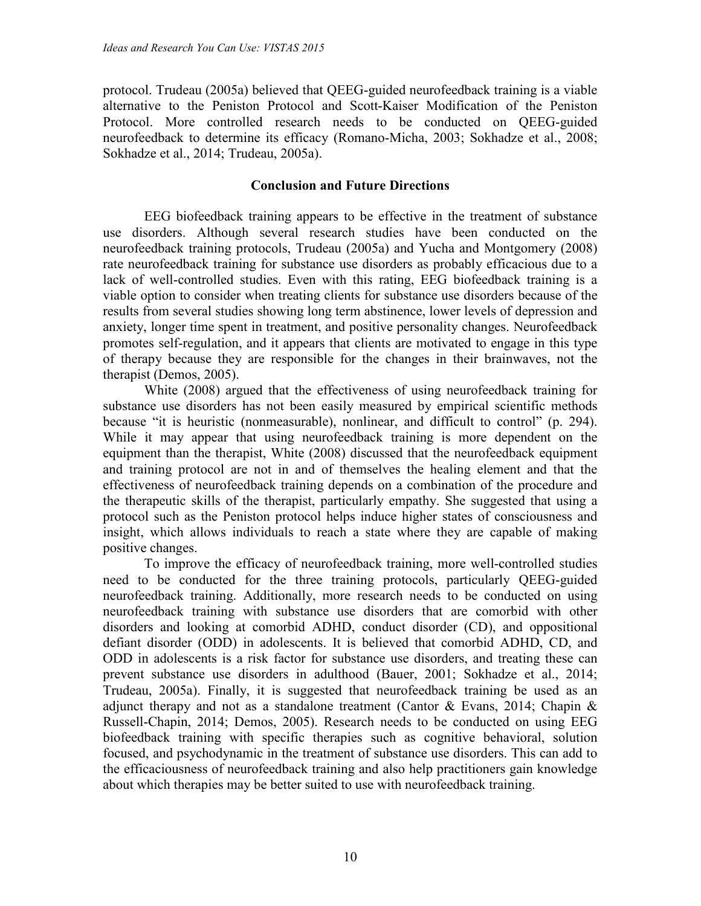protocol. Trudeau (2005a) believed that QEEG-guided neurofeedback training is a viable alternative to the Peniston Protocol and Scott-Kaiser Modification of the Peniston Protocol. More controlled research needs to be conducted on QEEG-guided neurofeedback to determine its efficacy (Romano-Micha, 2003; Sokhadze et al., 2008; Sokhadze et al., 2014; Trudeau, 2005a).

### **Conclusion and Future Directions**

EEG biofeedback training appears to be effective in the treatment of substance use disorders. Although several research studies have been conducted on the neurofeedback training protocols, Trudeau (2005a) and Yucha and Montgomery (2008) rate neurofeedback training for substance use disorders as probably efficacious due to a lack of well-controlled studies. Even with this rating, EEG biofeedback training is a viable option to consider when treating clients for substance use disorders because of the results from several studies showing long term abstinence, lower levels of depression and anxiety, longer time spent in treatment, and positive personality changes. Neurofeedback promotes self-regulation, and it appears that clients are motivated to engage in this type of therapy because they are responsible for the changes in their brainwaves, not the therapist (Demos, 2005).

White (2008) argued that the effectiveness of using neurofeedback training for substance use disorders has not been easily measured by empirical scientific methods because "it is heuristic (nonmeasurable), nonlinear, and difficult to control" (p. 294). While it may appear that using neurofeedback training is more dependent on the equipment than the therapist, White (2008) discussed that the neurofeedback equipment and training protocol are not in and of themselves the healing element and that the effectiveness of neurofeedback training depends on a combination of the procedure and the therapeutic skills of the therapist, particularly empathy. She suggested that using a protocol such as the Peniston protocol helps induce higher states of consciousness and insight, which allows individuals to reach a state where they are capable of making positive changes.

To improve the efficacy of neurofeedback training, more well-controlled studies need to be conducted for the three training protocols, particularly QEEG-guided neurofeedback training. Additionally, more research needs to be conducted on using neurofeedback training with substance use disorders that are comorbid with other disorders and looking at comorbid ADHD, conduct disorder (CD), and oppositional defiant disorder (ODD) in adolescents. It is believed that comorbid ADHD, CD, and ODD in adolescents is a risk factor for substance use disorders, and treating these can prevent substance use disorders in adulthood (Bauer, 2001; Sokhadze et al., 2014; Trudeau, 2005a). Finally, it is suggested that neurofeedback training be used as an adjunct therapy and not as a standalone treatment (Cantor  $\&$  Evans, 2014; Chapin  $\&$ Russell-Chapin, 2014; Demos, 2005). Research needs to be conducted on using EEG biofeedback training with specific therapies such as cognitive behavioral, solution focused, and psychodynamic in the treatment of substance use disorders. This can add to the efficaciousness of neurofeedback training and also help practitioners gain knowledge about which therapies may be better suited to use with neurofeedback training.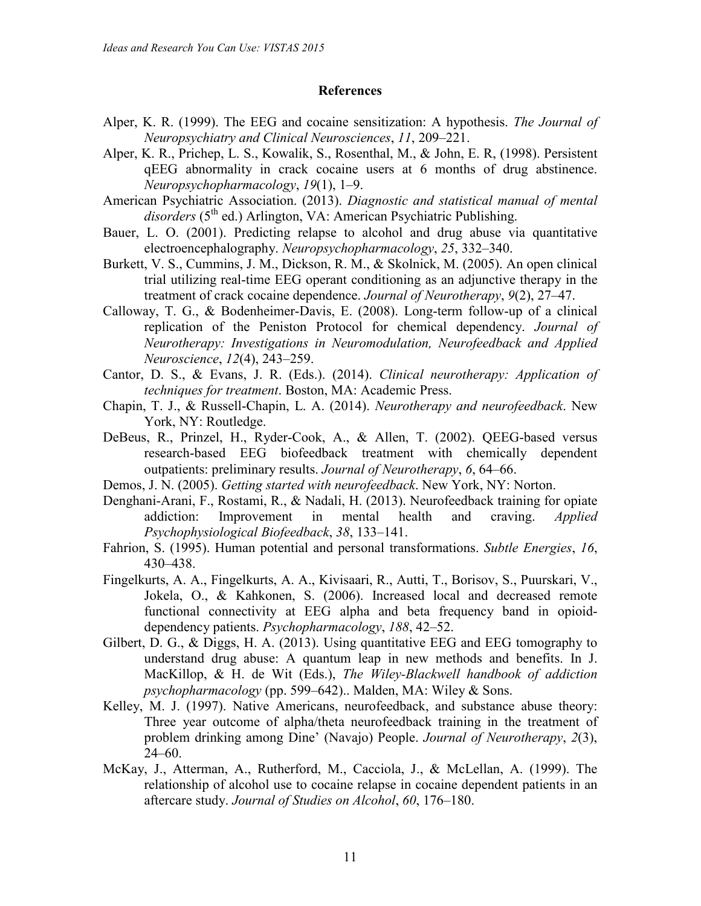#### **References**

- Alper, K. R. (1999). The EEG and cocaine sensitization: A hypothesis. *The Journal of Neuropsychiatry and Clinical Neurosciences*, *11*, 209–221.
- Alper, K. R., Prichep, L. S., Kowalik, S., Rosenthal, M., & John, E. R, (1998). Persistent qEEG abnormality in crack cocaine users at 6 months of drug abstinence. *Neuropsychopharmacology*, *19*(1), 1–9.
- American Psychiatric Association. (2013). *Diagnostic and statistical manual of mental* disorders (5<sup>th</sup> ed.) Arlington, VA: American Psychiatric Publishing.
- Bauer, L. O. (2001). Predicting relapse to alcohol and drug abuse via quantitative electroencephalography. *Neuropsychopharmacology*, *25*, 332–340.
- Burkett, V. S., Cummins, J. M., Dickson, R. M., & Skolnick, M. (2005). An open clinical trial utilizing real-time EEG operant conditioning as an adjunctive therapy in the treatment of crack cocaine dependence. *Journal of Neurotherapy*, *9*(2), 27–47.
- Calloway, T. G., & Bodenheimer-Davis, E. (2008). Long-term follow-up of a clinical replication of the Peniston Protocol for chemical dependency. *Journal of Neurotherapy: Investigations in Neuromodulation, Neurofeedback and Applied Neuroscience*, *12*(4), 243–259.
- Cantor, D. S., & Evans, J. R. (Eds.). (2014). *Clinical neurotherapy: Application of techniques for treatment*. Boston, MA: Academic Press.
- Chapin, T. J., & Russell-Chapin, L. A. (2014). *Neurotherapy and neurofeedback*. New York, NY: Routledge.
- DeBeus, R., Prinzel, H., Ryder-Cook, A., & Allen, T. (2002). QEEG-based versus research-based EEG biofeedback treatment with chemically dependent outpatients: preliminary results. *Journal of Neurotherapy*, *6*, 64–66.
- Demos, J. N. (2005). *Getting started with neurofeedback*. New York, NY: Norton.
- Denghani-Arani, F., Rostami, R., & Nadali, H. (2013). Neurofeedback training for opiate addiction: Improvement in mental health and craving. *Applied Psychophysiological Biofeedback*, *38*, 133–141.
- Fahrion, S. (1995). Human potential and personal transformations. *Subtle Energies*, *16*, 430–438.
- Fingelkurts, A. A., Fingelkurts, A. A., Kivisaari, R., Autti, T., Borisov, S., Puurskari, V., Jokela, O., & Kahkonen, S. (2006). Increased local and decreased remote functional connectivity at EEG alpha and beta frequency band in opioiddependency patients. *Psychopharmacology*, *188*, 42–52.
- Gilbert, D. G., & Diggs, H. A. (2013). Using quantitative EEG and EEG tomography to understand drug abuse: A quantum leap in new methods and benefits. In J. MacKillop, & H. de Wit (Eds.), *The Wiley-Blackwell handbook of addiction psychopharmacology* (pp. 599–642).. Malden, MA: Wiley & Sons.
- Kelley, M. J. (1997). Native Americans, neurofeedback, and substance abuse theory: Three year outcome of alpha/theta neurofeedback training in the treatment of problem drinking among Dine' (Navajo) People. *Journal of Neurotherapy*, *2*(3), 24–60.
- McKay, J., Atterman, A., Rutherford, M., Cacciola, J., & McLellan, A. (1999). The relationship of alcohol use to cocaine relapse in cocaine dependent patients in an aftercare study. *Journal of Studies on Alcohol*, *60*, 176–180.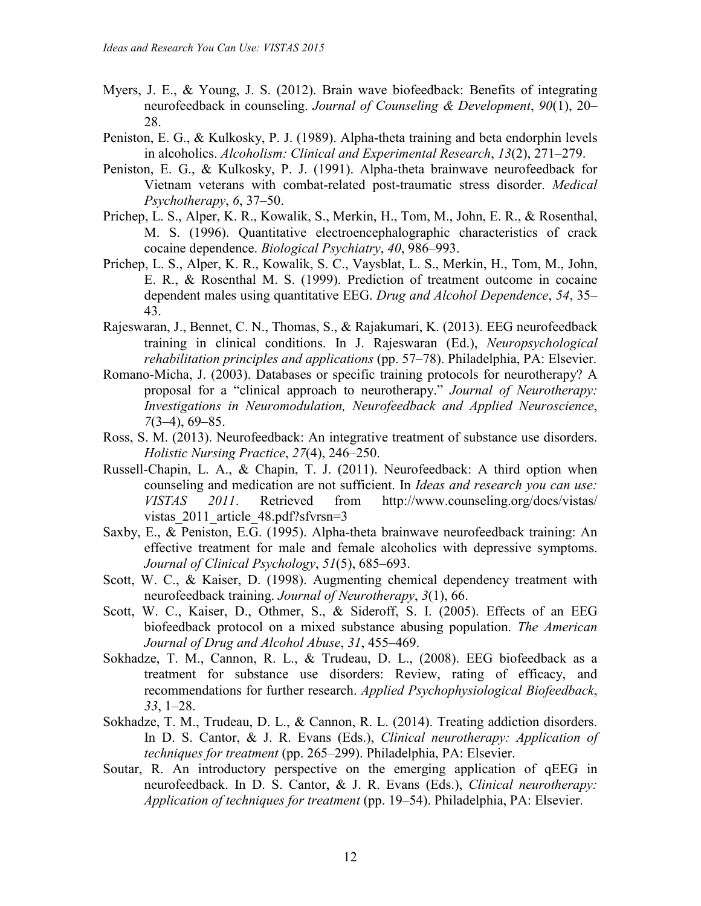- Myers, J. E., & Young, J. S. (2012). Brain wave biofeedback: Benefits of integrating neurofeedback in counseling. *Journal of Counseling & Development*, *90*(1), 20– 28.
- Peniston, E. G., & Kulkosky, P. J. (1989). Alpha-theta training and beta endorphin levels in alcoholics. *Alcoholism: Clinical and Experimental Research*, *13*(2), 271–279.
- Peniston, E. G., & Kulkosky, P. J. (1991). Alpha-theta brainwave neurofeedback for Vietnam veterans with combat-related post-traumatic stress disorder. *Medical Psychotherapy*, *6*, 37–50.
- Prichep, L. S., Alper, K. R., Kowalik, S., Merkin, H., Tom, M., John, E. R., & Rosenthal, M. S. (1996). Quantitative electroencephalographic characteristics of crack cocaine dependence. *Biological Psychiatry*, *40*, 986–993.
- Prichep, L. S., Alper, K. R., Kowalik, S. C., Vaysblat, L. S., Merkin, H., Tom, M., John, E. R., & Rosenthal M. S. (1999). Prediction of treatment outcome in cocaine dependent males using quantitative EEG. *Drug and Alcohol Dependence*, *54*, 35– 43.
- Rajeswaran, J., Bennet, C. N., Thomas, S., & Rajakumari, K. (2013). EEG neurofeedback training in clinical conditions. In J. Rajeswaran (Ed.), *Neuropsychological rehabilitation principles and applications* (pp. 57–78). Philadelphia, PA: Elsevier.
- Romano-Micha, J. (2003). Databases or specific training protocols for neurotherapy? A proposal for a "clinical approach to neurotherapy." *Journal of Neurotherapy: Investigations in Neuromodulation, Neurofeedback and Applied Neuroscience*, *7*(3–4), 69–85.
- Ross, S. M. (2013). Neurofeedback: An integrative treatment of substance use disorders. *Holistic Nursing Practice*, *27*(4), 246–250.
- Russell-Chapin, L. A., & Chapin, T. J. (2011). Neurofeedback: A third option when counseling and medication are not sufficient. In *Ideas and research you can use: VISTAS 2011*. Retrieved from http://www.counseling.org/docs/vistas/ vistas 2011 article 48.pdf?sfvrsn=3
- Saxby, E., & Peniston, E.G. (1995). Alpha-theta brainwave neurofeedback training: An effective treatment for male and female alcoholics with depressive symptoms. *Journal of Clinical Psychology*, *51*(5), 685–693.
- Scott, W. C., & Kaiser, D. (1998). Augmenting chemical dependency treatment with neurofeedback training. *Journal of Neurotherapy*, *3*(1), 66.
- Scott, W. C., Kaiser, D., Othmer, S., & Sideroff, S. I. (2005). Effects of an EEG biofeedback protocol on a mixed substance abusing population. *The American Journal of Drug and Alcohol Abuse*, *31*, 455–469.
- Sokhadze, T. M., Cannon, R. L., & Trudeau, D. L., (2008). EEG biofeedback as a treatment for substance use disorders: Review, rating of efficacy, and recommendations for further research. *Applied Psychophysiological Biofeedback*, *33*, 1–28.
- Sokhadze, T. M., Trudeau, D. L., & Cannon, R. L. (2014). Treating addiction disorders. In D. S. Cantor, & J. R. Evans (Eds.), *Clinical neurotherapy: Application of techniques for treatment* (pp. 265–299). Philadelphia, PA: Elsevier.
- Soutar, R. An introductory perspective on the emerging application of qEEG in neurofeedback. In D. S. Cantor, & J. R. Evans (Eds.), *Clinical neurotherapy: Application of techniques for treatment* (pp. 19–54). Philadelphia, PA: Elsevier.